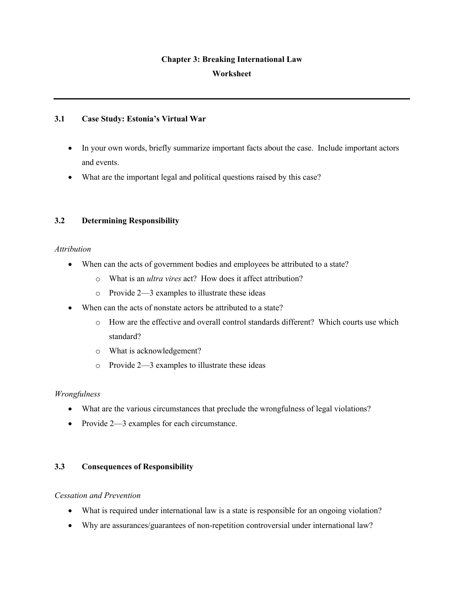# **Chapter 3: Breaking International Law Worksheet**

## **3.1 Case Study: Estonia's Virtual War**

- In your own words, briefly summarize important facts about the case. Include important actors and events.
- What are the important legal and political questions raised by this case?

## **3.2 Determining Responsibility**

## *Attribution*

- When can the acts of government bodies and employees be attributed to a state?
	- o What is an *ultra vires* act? How does it affect attribution?
	- o Provide 2—3 examples to illustrate these ideas
- When can the acts of nonstate actors be attributed to a state?
	- o How are the effective and overall control standards different? Which courts use which standard?
	- o What is acknowledgement?
	- o Provide 2—3 examples to illustrate these ideas

## *Wrongfulness*

- What are the various circumstances that preclude the wrongfulness of legal violations?
- Provide 2—3 examples for each circumstance.

## **3.3 Consequences of Responsibility**

## *Cessation and Prevention*

- What is required under international law is a state is responsible for an ongoing violation?
- Why are assurances/guarantees of non-repetition controversial under international law?